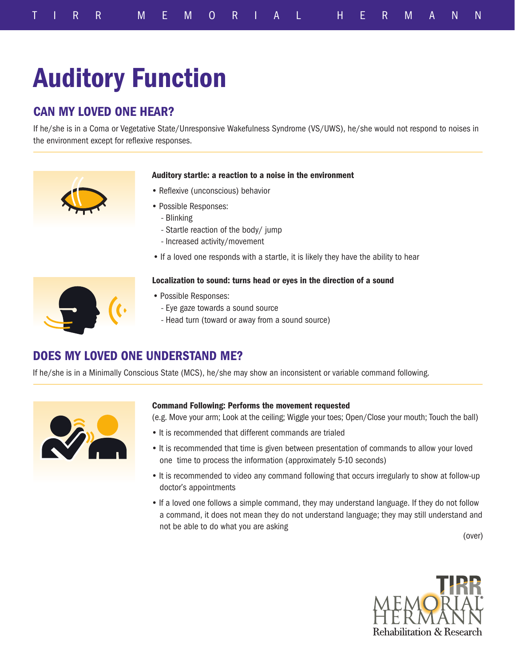# Auditory Function

## CAN MY LOVED ONE HEAR?

If he/she is in a Coma or Vegetative State/Unresponsive Wakefulness Syndrome (VS/UWS), he/she would not respond to noises in the environment except for reflexive responses.



#### Auditory startle: a reaction to a noise in the environment

- Reflexive (unconscious) behavior
- Possible Responses:
	- Blinking
	- Startle reaction of the body/ jump
	- Increased activity/movement
- If a loved one responds with a startle, it is likely they have the ability to hear

#### Localization to sound: turns head or eyes in the direction of a sound

- Possible Responses:
	- Eye gaze towards a sound source
	- Head turn (toward or away from a sound source)

### DOES MY LOVED ONE UNDERSTAND ME?

If he/she is in a Minimally Conscious State (MCS), he/she may show an inconsistent or variable command following.



#### Command Following: Performs the movement requested

(e.g. Move your arm; Look at the ceiling; Wiggle your toes; Open/Close your mouth; Touch the ball)

- It is recommended that different commands are trialed
- It is recommended that time is given between presentation of commands to allow your loved one time to process the information (approximately 5-10 seconds)
- It is recommended to video any command following that occurs irregularly to show at follow-up doctor's appointments
- If a loved one follows a simple command, they may understand language. If they do not follow a command, it does not mean they do not understand language; they may still understand and not be able to do what you are asking

(over)